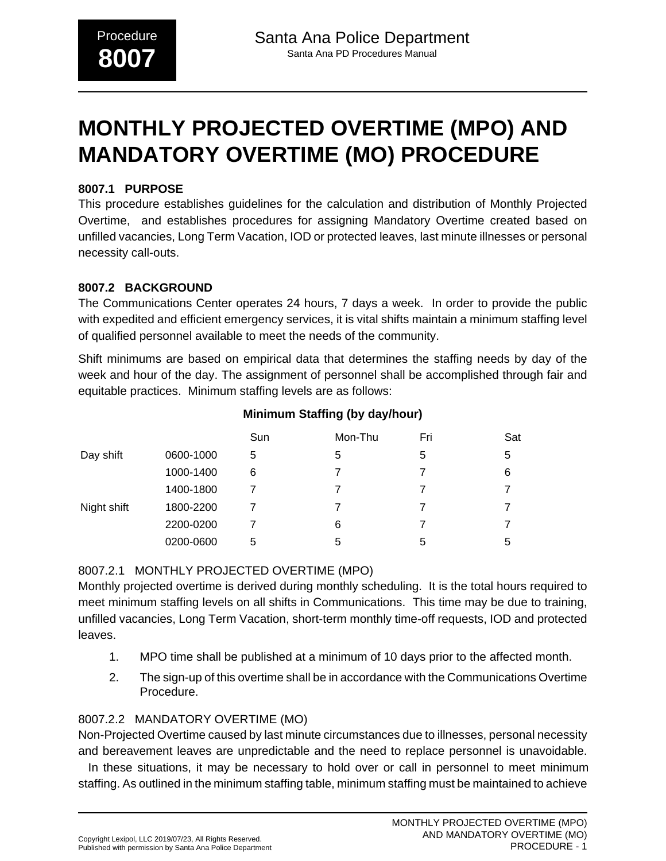# **MONTHLY PROJECTED OVERTIME (MPO) AND MANDATORY OVERTIME (MO) PROCEDURE**

## **8007.1 PURPOSE**

This procedure establishes guidelines for the calculation and distribution of Monthly Projected Overtime, and establishes procedures for assigning Mandatory Overtime created based on unfilled vacancies, Long Term Vacation, IOD or protected leaves, last minute illnesses or personal necessity call-outs.

#### **8007.2 BACKGROUND**

The Communications Center operates 24 hours, 7 days a week. In order to provide the public with expedited and efficient emergency services, it is vital shifts maintain a minimum staffing level of qualified personnel available to meet the needs of the community.

Shift minimums are based on empirical data that determines the staffing needs by day of the week and hour of the day. The assignment of personnel shall be accomplished through fair and equitable practices. Minimum staffing levels are as follows:

|             |           | Sun | Mon-Thu | Fri | Sat |
|-------------|-----------|-----|---------|-----|-----|
| Day shift   | 0600-1000 | 5   | 5       | 5   | 5   |
|             | 1000-1400 | 6   |         |     | 6   |
|             | 1400-1800 |     | 7       |     |     |
| Night shift | 1800-2200 |     |         |     |     |
|             | 2200-0200 |     | 6       |     |     |
|             | 0200-0600 | 5   | 5       | 5   | 5   |

## **Minimum Staffing (by day/hour)**

## 8007.2.1 MONTHLY PROJECTED OVERTIME (MPO)

Monthly projected overtime is derived during monthly scheduling. It is the total hours required to meet minimum staffing levels on all shifts in Communications. This time may be due to training, unfilled vacancies, Long Term Vacation, short-term monthly time-off requests, IOD and protected leaves.

- 1. MPO time shall be published at a minimum of 10 days prior to the affected month.
- 2. The sign-up of this overtime shall be in accordance with the Communications Overtime Procedure.

# 8007.2.2 MANDATORY OVERTIME (MO)

Non-Projected Overtime caused by last minute circumstances due to illnesses, personal necessity and bereavement leaves are unpredictable and the need to replace personnel is unavoidable.

 In these situations, it may be necessary to hold over or call in personnel to meet minimum staffing. As outlined in the minimum staffing table, minimum staffing must be maintained to achieve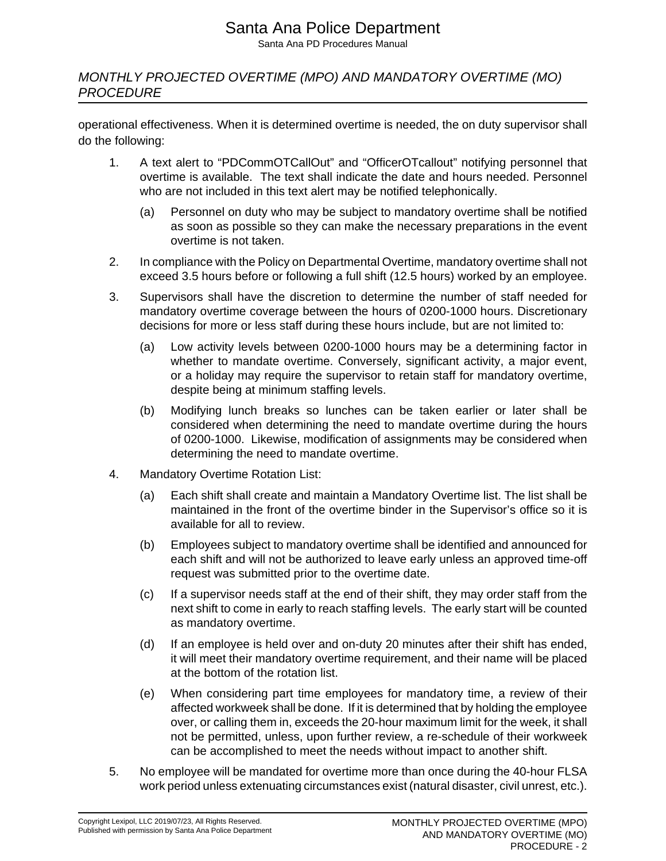# Santa Ana Police Department

Santa Ana PD Procedures Manual

MONTHLY PROJECTED OVERTIME (MPO) AND MANDATORY OVERTIME (MO) **PROCEDURE** 

operational effectiveness. When it is determined overtime is needed, the on duty supervisor shall do the following:

- 1. A text alert to "PDCommOTCallOut" and "OfficerOTcallout" notifying personnel that overtime is available. The text shall indicate the date and hours needed. Personnel who are not included in this text alert may be notified telephonically.
	- (a) Personnel on duty who may be subject to mandatory overtime shall be notified as soon as possible so they can make the necessary preparations in the event overtime is not taken.
- 2. In compliance with the Policy on Departmental Overtime, mandatory overtime shall not exceed 3.5 hours before or following a full shift (12.5 hours) worked by an employee.
- 3. Supervisors shall have the discretion to determine the number of staff needed for mandatory overtime coverage between the hours of 0200-1000 hours. Discretionary decisions for more or less staff during these hours include, but are not limited to:
	- (a) Low activity levels between 0200-1000 hours may be a determining factor in whether to mandate overtime. Conversely, significant activity, a major event, or a holiday may require the supervisor to retain staff for mandatory overtime, despite being at minimum staffing levels.
	- (b) Modifying lunch breaks so lunches can be taken earlier or later shall be considered when determining the need to mandate overtime during the hours of 0200-1000. Likewise, modification of assignments may be considered when determining the need to mandate overtime.
- 4. Mandatory Overtime Rotation List:
	- (a) Each shift shall create and maintain a Mandatory Overtime list. The list shall be maintained in the front of the overtime binder in the Supervisor's office so it is available for all to review.
	- (b) Employees subject to mandatory overtime shall be identified and announced for each shift and will not be authorized to leave early unless an approved time-off request was submitted prior to the overtime date.
	- (c) If a supervisor needs staff at the end of their shift, they may order staff from the next shift to come in early to reach staffing levels. The early start will be counted as mandatory overtime.
	- (d) If an employee is held over and on-duty 20 minutes after their shift has ended, it will meet their mandatory overtime requirement, and their name will be placed at the bottom of the rotation list.
	- (e) When considering part time employees for mandatory time, a review of their affected workweek shall be done. If it is determined that by holding the employee over, or calling them in, exceeds the 20-hour maximum limit for the week, it shall not be permitted, unless, upon further review, a re-schedule of their workweek can be accomplished to meet the needs without impact to another shift.
- 5. No employee will be mandated for overtime more than once during the 40-hour FLSA work period unless extenuating circumstances exist (natural disaster, civil unrest, etc.).